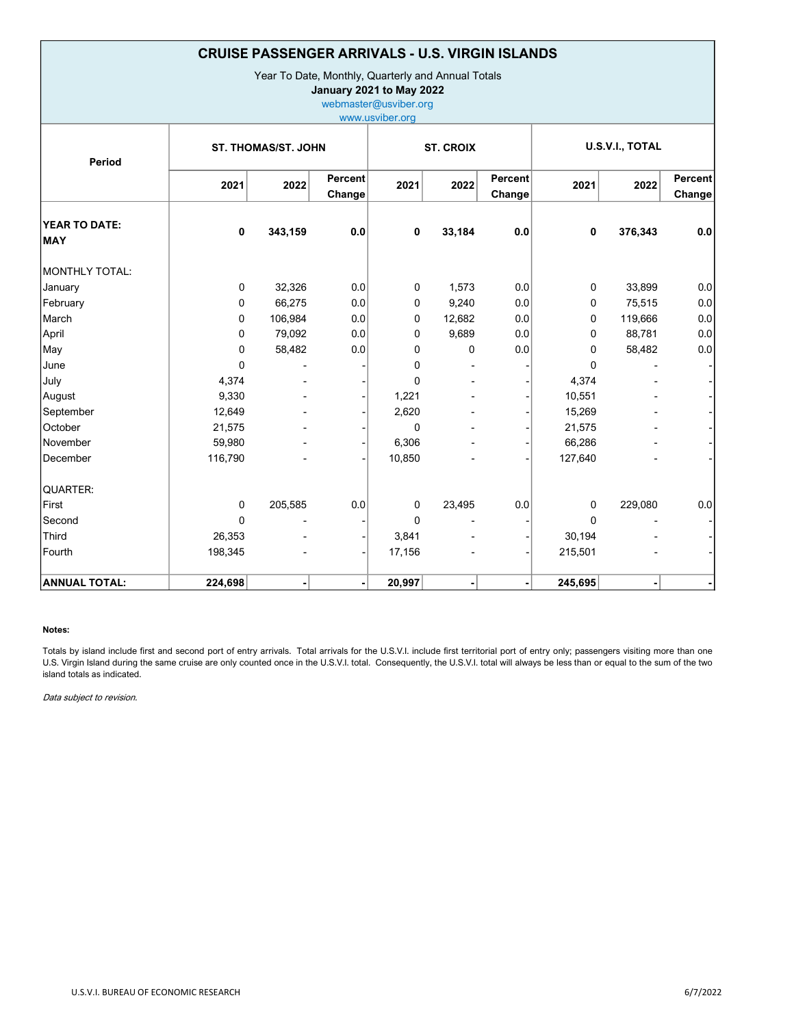## CRUISE PASSENGER ARRIVALS - U.S. VIRGIN ISLANDS

Year To Date, Monthly, Quarterly and Annual Totals

January 2021 to May 2022

webmaster@usviber.org

| www.usviber.org |  |
|-----------------|--|
|                 |  |

| Period                      | <b>ST. THOMAS/ST. JOHN</b> |         |                   | <b>ST. CROIX</b> |                |                   | U.S.V.I., TOTAL |         |                   |
|-----------------------------|----------------------------|---------|-------------------|------------------|----------------|-------------------|-----------------|---------|-------------------|
|                             | 2021                       | 2022    | Percent<br>Change | 2021             | 2022           | Percent<br>Change | 2021            | 2022    | Percent<br>Change |
| YEAR TO DATE:<br><b>MAY</b> | 0                          | 343,159 | 0.0               | $\mathbf 0$      | 33,184         | 0.0               | 0               | 376,343 | 0.0               |
| MONTHLY TOTAL:              |                            |         |                   |                  |                |                   |                 |         |                   |
| January                     | 0                          | 32,326  | 0.0               | $\mathbf 0$      | 1,573          | 0.0               | 0               | 33,899  | 0.0               |
| February                    | 0                          | 66,275  | 0.0               | $\mathbf 0$      | 9,240          | 0.0               | 0               | 75,515  | 0.0               |
| March                       | 0                          | 106,984 | 0.0               | 0                | 12,682         | 0.0               | 0               | 119,666 | 0.0               |
| April                       | 0                          | 79,092  | 0.0               | 0                | 9,689          | 0.0               | 0               | 88,781  | 0.0               |
| May                         | 0                          | 58,482  | 0.0               | 0                | $\mathbf 0$    | 0.0               | 0               | 58,482  | 0.0               |
| June                        | $\mathbf 0$                |         |                   | 0                |                |                   | $\mathbf{0}$    |         |                   |
| July                        | 4,374                      |         |                   | 0                |                |                   | 4,374           |         |                   |
| August                      | 9,330                      |         |                   | 1,221            |                |                   | 10,551          |         |                   |
| September                   | 12,649                     |         |                   | 2,620            |                |                   | 15,269          |         |                   |
| October                     | 21,575                     |         |                   | $\mathbf 0$      |                |                   | 21,575          |         |                   |
| <b>November</b>             | 59,980                     |         |                   | 6,306            |                |                   | 66,286          |         |                   |
| December                    | 116,790                    |         |                   | 10,850           |                |                   | 127,640         |         |                   |
| lQUARTER:                   |                            |         |                   |                  |                |                   |                 |         |                   |
| First                       | 0                          | 205,585 | 0.0               | $\mathbf 0$      | 23,495         | 0.0               | 0               | 229,080 | 0.0               |
| Second                      | 0                          |         |                   | 0                | $\blacksquare$ |                   | $\mathbf{0}$    |         |                   |
| Third                       | 26,353                     |         |                   | 3,841            |                |                   | 30,194          |         |                   |
| Fourth                      | 198,345                    |         |                   | 17,156           |                |                   | 215,501         |         |                   |
| <b>ANNUAL TOTAL:</b>        | 224,698                    |         | ٠                 | 20,997           |                |                   | 245,695         |         |                   |

## Notes:

Totals by island include first and second port of entry arrivals. Total arrivals for the U.S.V.I. include first territorial port of entry only; passengers visiting more than one U.S. Virgin Island during the same cruise are only counted once in the U.S.V.I. total. Consequently, the U.S.V.I. total will always be less than or equal to the sum of the two island totals as indicated.

Data subject to revision.